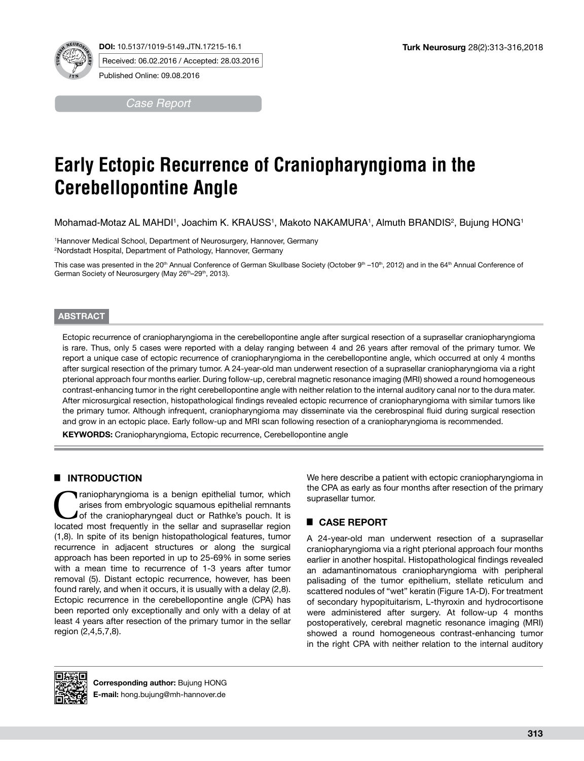



Received: 06.02.2016 / Accepted: 28.03.2016

Published Online: 09.08.2016

*Case Report*

# **Early Ectopic Recurrence of Craniopharyngioma in the Cerebellopontine Angle**

Mohamad-Motaz AL MAHDI', Joachim K. KRAUSS', Makoto NAKAMURA', Almuth BRANDIS<del>'</del>, Bujung HONG'

1 Hannover Medical School, Department of Neurosurgery, Hannover, Germany 2 Nordstadt Hospital, Department of Pathology, Hannover, Germany

This case was presented in the 20<sup>th</sup> Annual Conference of German Skullbase Society (October 9<sup>th</sup> –10<sup>th</sup>, 2012) and in the 64<sup>th</sup> Annual Conference of German Society of Neurosurgery (May 26<sup>th</sup>–29<sup>th</sup>, 2013).

#### **ABSTRACT**

Ectopic recurrence of craniopharyngioma in the cerebellopontine angle after surgical resection of a suprasellar craniopharyngioma is rare. Thus, only 5 cases were reported with a delay ranging between 4 and 26 years after removal of the primary tumor. We report a unique case of ectopic recurrence of craniopharyngioma in the cerebellopontine angle, which occurred at only 4 months after surgical resection of the primary tumor. A 24-year-old man underwent resection of a suprasellar craniopharyngioma via a right pterional approach four months earlier. During follow-up, cerebral magnetic resonance imaging (MRI) showed a round homogeneous contrast-enhancing tumor in the right cerebellopontine angle with neither relation to the internal auditory canal nor to the dura mater. After microsurgical resection, histopathological findings revealed ectopic recurrence of craniopharyngioma with similar tumors like the primary tumor. Although infrequent, craniopharyngioma may disseminate via the cerebrospinal fluid during surgical resection and grow in an ectopic place. Early follow-up and MRI scan following resection of a craniopharyngioma is recommended.

**KEYWORDS:** Craniopharyngioma, Ectopic recurrence, Cerebellopontine angle

## █ **INTRODUCTION**

Traniopharyngioma is a benign epithelial tumor, which arises from embryologic squamous epithelial remnants of the craniopharyngeal duct or Rathke's pouch. It is located most frequently in the sellar and suppresellar region arises from embryologic squamous epithelial remnants located most frequently in the sellar and suprasellar region (1,8). In spite of its benign histopathological features, tumor recurrence in adjacent structures or along the surgical approach has been reported in up to 25-69% in some series with a mean time to recurrence of 1-3 years after tumor removal (5). Distant ectopic recurrence, however, has been found rarely, and when it occurs, it is usually with a delay (2,8). Ectopic recurrence in the cerebellopontine angle (CPA) has been reported only exceptionally and only with a delay of at least 4 years after resection of the primary tumor in the sellar region (2,4,5,7,8).

We here describe a patient with ectopic craniopharyngioma in the CPA as early as four months after resection of the primary suprasellar tumor.

# █ **CASE REPORT**

A 24-year-old man underwent resection of a suprasellar craniopharyngioma via a right pterional approach four months earlier in another hospital. Histopathological findings revealed an adamantinomatous craniopharyngioma with peripheral palisading of the tumor epithelium, stellate reticulum and scattered nodules of "wet" keratin (Figure 1A-D). For treatment of secondary hypopituitarism, L-thyroxin and hydrocortisone were administered after surgery. At follow-up 4 months postoperatively, cerebral magnetic resonance imaging (MRI) showed a round homogeneous contrast-enhancing tumor in the right CPA with neither relation to the internal auditory

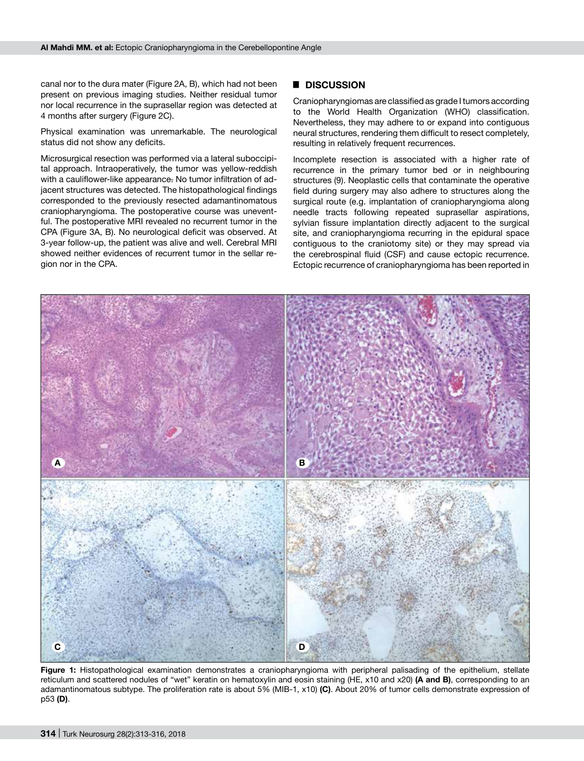canal nor to the dura mater (Figure 2A, B), which had not been present on previous imaging studies. Neither residual tumor nor local recurrence in the suprasellar region was detected at 4 months after surgery (Figure 2C).

Physical examination was unremarkable. The neurological status did not show any deficits.

Microsurgical resection was performed via a lateral suboccipital approach. Intraoperatively, the tumor was yellow-reddish with a cauliflower-like appearance. No tumor infiltration of adjacent structures was detected. The histopathological findings corresponded to the previously resected adamantinomatous craniopharyngioma. The postoperative course was uneventful. The postoperative MRI revealed no recurrent tumor in the CPA (Figure 3A, B). No neurological deficit was observed. At 3-year follow-up, the patient was alive and well. Cerebral MRI showed neither evidences of recurrent tumor in the sellar region nor in the CPA.

## █ **DISCUSSION**

Craniopharyngiomas are classified as grade I tumors according to the World Health Organization (WHO) classification. Nevertheless, they may adhere to or expand into contiguous neural structures, rendering them difficult to resect completely, resulting in relatively frequent recurrences.

Incomplete resection is associated with a higher rate of recurrence in the primary tumor bed or in neighbouring structures (9). Neoplastic cells that contaminate the operative field during surgery may also adhere to structures along the surgical route (e.g. implantation of craniopharyngioma along needle tracts following repeated suprasellar aspirations, sylvian fissure implantation directly adjacent to the surgical site, and craniopharyngioma recurring in the epidural space contiguous to the craniotomy site) or they may spread via the cerebrospinal fluid (CSF) and cause ectopic recurrence. Ectopic recurrence of craniopharyngioma has been reported in



**Figure 1:** Histopathological examination demonstrates a craniopharyngioma with peripheral palisading of the epithelium, stellate reticulum and scattered nodules of "wet" keratin on hematoxylin and eosin staining (HE, x10 and x20) **(A and B)**, corresponding to an adamantinomatous subtype. The proliferation rate is about 5% (MIB-1, x10) **(C)**. About 20% of tumor cells demonstrate expression of p53 **(D)**.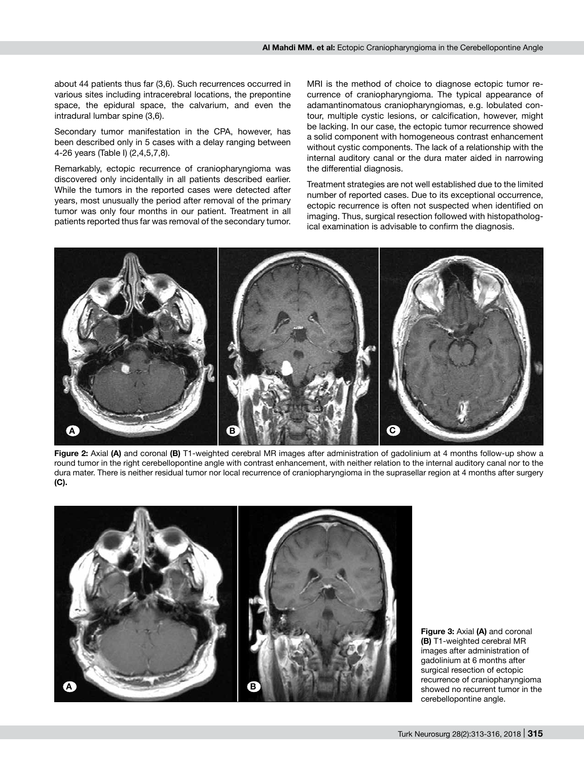about 44 patients thus far (3,6). Such recurrences occurred in various sites including intracerebral locations, the prepontine space, the epidural space, the calvarium, and even the intradural lumbar spine (3,6).

Secondary tumor manifestation in the CPA, however, has been described only in 5 cases with a delay ranging between 4-26 years (Table I) (2,4,5,7,8).

Remarkably, ectopic recurrence of craniopharyngioma was discovered only incidentally in all patients described earlier. While the tumors in the reported cases were detected after years, most unusually the period after removal of the primary tumor was only four months in our patient. Treatment in all patients reported thus far was removal of the secondary tumor.

MRI is the method of choice to diagnose ectopic tumor recurrence of craniopharyngioma. The typical appearance of adamantinomatous craniopharyngiomas, e.g. lobulated contour, multiple cystic lesions, or calcification, however, might be lacking. In our case, the ectopic tumor recurrence showed a solid component with homogeneous contrast enhancement without cystic components. The lack of a relationship with the internal auditory canal or the dura mater aided in narrowing the differential diagnosis.

Treatment strategies are not well established due to the limited number of reported cases. Due to its exceptional occurrence, ectopic recurrence is often not suspected when identified on imaging. Thus, surgical resection followed with histopathological examination is advisable to confirm the diagnosis.



**Figure 2:** Axial **(A)** and coronal **(B)** T1-weighted cerebral MR images after administration of gadolinium at 4 months follow-up show a round tumor in the right cerebellopontine angle with contrast enhancement, with neither relation to the internal auditory canal nor to the dura mater. There is neither residual tumor nor local recurrence of craniopharyngioma in the suprasellar region at 4 months after surgery **(C).**



**Figure 3:** Axial **(A)** and coronal **(B)** T1-weighted cerebral MR images after administration of gadolinium at 6 months after surgical resection of ectopic recurrence of craniopharyngioma showed no recurrent tumor in the cerebellopontine angle.